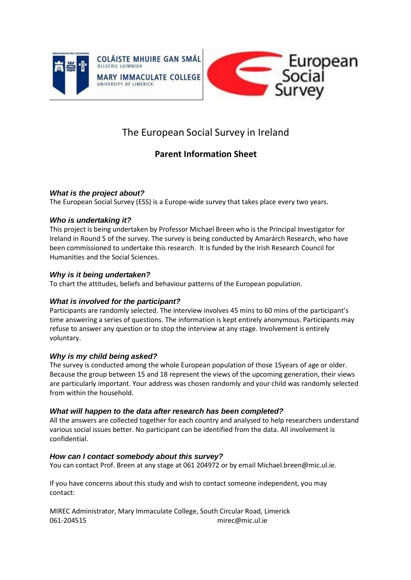



# The European Social Survey in Ireland

## **Parent Information Sheet**

### *What is the project about?*

The European Social Survey (ESS) is a Europe-wide survey that takes place every two years.

#### *Who is undertaking it?*

This project is being undertaken by Professor Michael Breen who is the Principal Investigator for Ireland in Round 5 of the survey. The survey is being conducted by Amarárch Research, who have been commissioned to undertake this research. It is funded by the Irish Research Council for Humanities and the Social Sciences.

### *Why is it being undertaken?*

To chart the attitudes, beliefs and behaviour patterns of the European population.

### *What is involved for the participant?*

Participants are randomly selected. The interview involves 45 mins to 60 mins of the participant's time answering a series of questions. The information is kept entirely anonymous. Participants may refuse to answer any question or to stop the interview at any stage. Involvement is entirely voluntary.

### *Why is my child being asked?*

The survey is conducted among the whole European population of those 15years of age or older. Because the group between 15 and 18 represent the views of the upcoming generation, their views are particularly important. Your address was chosen randomly and your child was randomly selected from within the household.

### *What will happen to the data after research has been completed?*

All the answers are collected together for each country and analysed to help researchers understand various social issues better. No participant can be identified from the data. All involvement is confidential.

### *How can I contact somebody about this survey?*

You can contact Prof. Breen at any stage at 061 204972 or by email [Michael.breen@mic.ul.ie.](mailto:Michael.breen@mic.ul.ie)

If you have concerns about this study and wish to contact someone independent, you may contact:

MIREC Administrator, Mary Immaculate College, South Circular Road, Limerick 061-204515 [mirec@mic.ul.ie](mailto:mirec@mic.ul.ie)